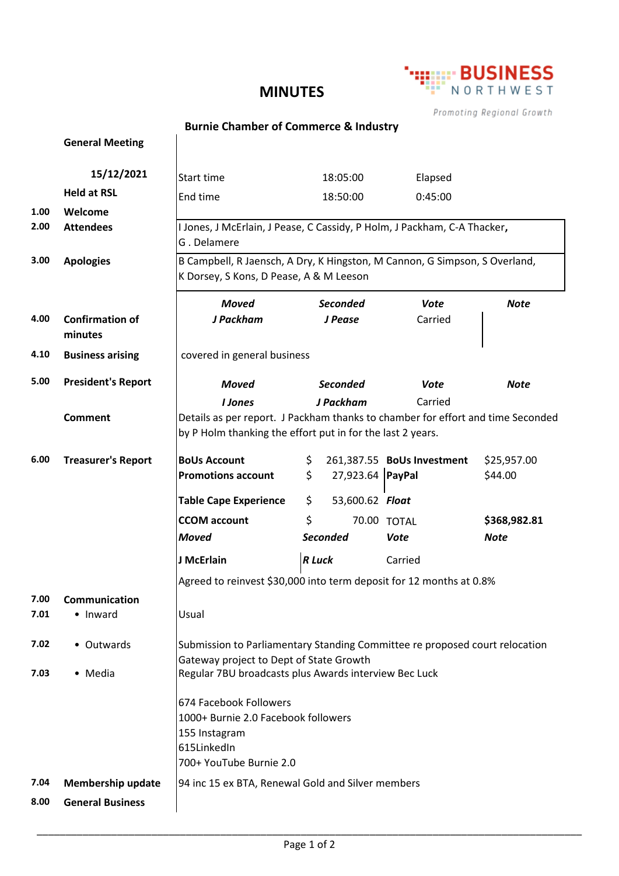## **MINUTES**



Promoting Regional Growth

## **Burnie Chamber of Commerce & Industry**

 $\overline{1}$ 

|      | <b>General Meeting</b>    |                                                                                 |                        |                            |              |  |
|------|---------------------------|---------------------------------------------------------------------------------|------------------------|----------------------------|--------------|--|
|      | 15/12/2021                | Start time                                                                      | 18:05:00               | Elapsed                    |              |  |
|      | <b>Held at RSL</b>        | End time                                                                        | 18:50:00               | 0:45:00                    |              |  |
| 1.00 | Welcome                   |                                                                                 |                        |                            |              |  |
| 2.00 | <b>Attendees</b>          | I Jones, J McErlain, J Pease, C Cassidy, P Holm, J Packham, C-A Thacker,        |                        |                            |              |  |
|      |                           | G. Delamere                                                                     |                        |                            |              |  |
| 3.00 | <b>Apologies</b>          | B Campbell, R Jaensch, A Dry, K Hingston, M Cannon, G Simpson, S Overland,      |                        |                            |              |  |
|      |                           | K Dorsey, S Kons, D Pease, A & M Leeson                                         |                        |                            |              |  |
|      |                           | <b>Moved</b>                                                                    | <b>Seconded</b>        | <b>Vote</b>                | <b>Note</b>  |  |
| 4.00 | <b>Confirmation of</b>    | J Packham                                                                       | J Pease                | Carried                    |              |  |
|      | minutes                   |                                                                                 |                        |                            |              |  |
| 4.10 | <b>Business arising</b>   | covered in general business                                                     |                        |                            |              |  |
| 5.00 | <b>President's Report</b> | <b>Moved</b>                                                                    | <b>Seconded</b>        | <b>Vote</b>                | <b>Note</b>  |  |
|      |                           | <b>I</b> Jones                                                                  | J Packham              | Carried                    |              |  |
|      | <b>Comment</b>            | Details as per report. J Packham thanks to chamber for effort and time Seconded |                        |                            |              |  |
|      |                           | by P Holm thanking the effort put in for the last 2 years.                      |                        |                            |              |  |
| 6.00 | <b>Treasurer's Report</b> | <b>BoUs Account</b>                                                             | \$                     | 261,387.55 BoUs Investment | \$25,957.00  |  |
|      |                           | <b>Promotions account</b>                                                       | \$<br>27,923.64 PayPal |                            | \$44.00      |  |
|      |                           | <b>Table Cape Experience</b>                                                    | \$<br>53,600.62 Float  |                            |              |  |
|      |                           | <b>CCOM account</b>                                                             | \$                     | 70.00 TOTAL                | \$368,982.81 |  |
|      |                           | <b>Moved</b>                                                                    | <b>Seconded</b>        | <b>Vote</b>                | <b>Note</b>  |  |
|      |                           | J McErlain                                                                      | <b>R</b> Luck          | Carried                    |              |  |
|      |                           | Agreed to reinvest \$30,000 into term deposit for 12 months at 0.8%             |                        |                            |              |  |
| 7.00 | Communication             |                                                                                 |                        |                            |              |  |
| 7.01 | • Inward                  | Usual                                                                           |                        |                            |              |  |
| 7.02 | • Outwards                | Submission to Parliamentary Standing Committee re proposed court relocation     |                        |                            |              |  |
|      |                           | Gateway project to Dept of State Growth                                         |                        |                            |              |  |
| 7.03 | • Media                   | Regular 7BU broadcasts plus Awards interview Bec Luck                           |                        |                            |              |  |
|      |                           | 674 Facebook Followers                                                          |                        |                            |              |  |
|      |                           | 1000+ Burnie 2.0 Facebook followers                                             |                        |                            |              |  |
|      |                           | 155 Instagram                                                                   |                        |                            |              |  |
|      |                           | 615LinkedIn                                                                     |                        |                            |              |  |
|      |                           | 700+ YouTube Burnie 2.0                                                         |                        |                            |              |  |
| 7.04 | <b>Membership update</b>  | 94 inc 15 ex BTA, Renewal Gold and Silver members                               |                        |                            |              |  |
| 8.00 | <b>General Business</b>   |                                                                                 |                        |                            |              |  |
|      |                           |                                                                                 |                        |                            |              |  |